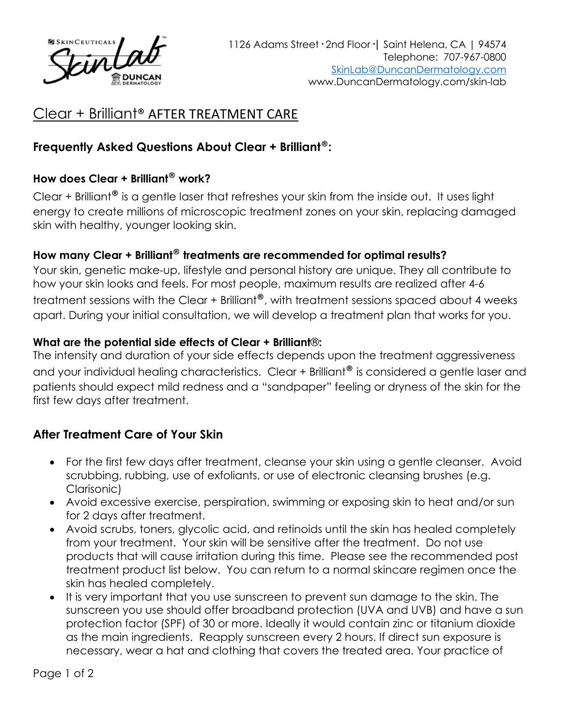

# Clear + Brilliant® AFTER TREATMENT CARE

### **Frequently Asked Questions About Clear + Brilliant**®**:**

#### **How does Clear + Brilliant**® **work?**

Clear + Brilliant® is a gentle laser that refreshes your skin from the inside out. It uses light energy to create millions of microscopic treatment zones on your skin, replacing damaged skin with healthy, younger looking skin.

### **How many Clear + Brilliant**® **treatments are recommended for optimal results?**

Your skin, genetic make-up, lifestyle and personal history are unique. They all contribute to how your skin looks and feels. For most people, maximum results are realized after 4-6 treatment sessions with the Clear + Brilliant<sup>®</sup>, with treatment sessions spaced about 4 weeks apart. During your initial consultation, we will develop a treatment plan that works for you.

#### **What are the potential side effects of Clear + Brilliant**®**:**

The intensity and duration of your side effects depends upon the treatment aggressiveness and your individual healing characteristics. Clear + Brilliant<sup>®</sup> is considered a gentle laser and patients should expect mild redness and a "sandpaper" feeling or dryness of the skin for the first few days after treatment.

## **After Treatment Care of Your Skin**

- For the first few days after treatment, cleanse your skin using a gentle cleanser. Avoid scrubbing, rubbing, use of exfoliants, or use of electronic cleansing brushes (e.g. Clarisonic)
- Avoid excessive exercise, perspiration, swimming or exposing skin to heat and/or sun for 2 days after treatment.
- Avoid scrubs, toners, glycolic acid, and retinoids until the skin has healed completely from your treatment. Your skin will be sensitive after the treatment. Do not use products that will cause irritation during this time. Please see the recommended post treatment product list below. You can return to a normal skincare regimen once the skin has healed completely.
- It is very important that you use sunscreen to prevent sun damage to the skin. The sunscreen you use should offer broadband protection (UVA and UVB) and have a sun protection factor (SPF) of 30 or more. Ideally it would contain zinc or titanium dioxide as the main ingredients. Reapply sunscreen every 2 hours. If direct sun exposure is necessary, wear a hat and clothing that covers the treated area. Your practice of